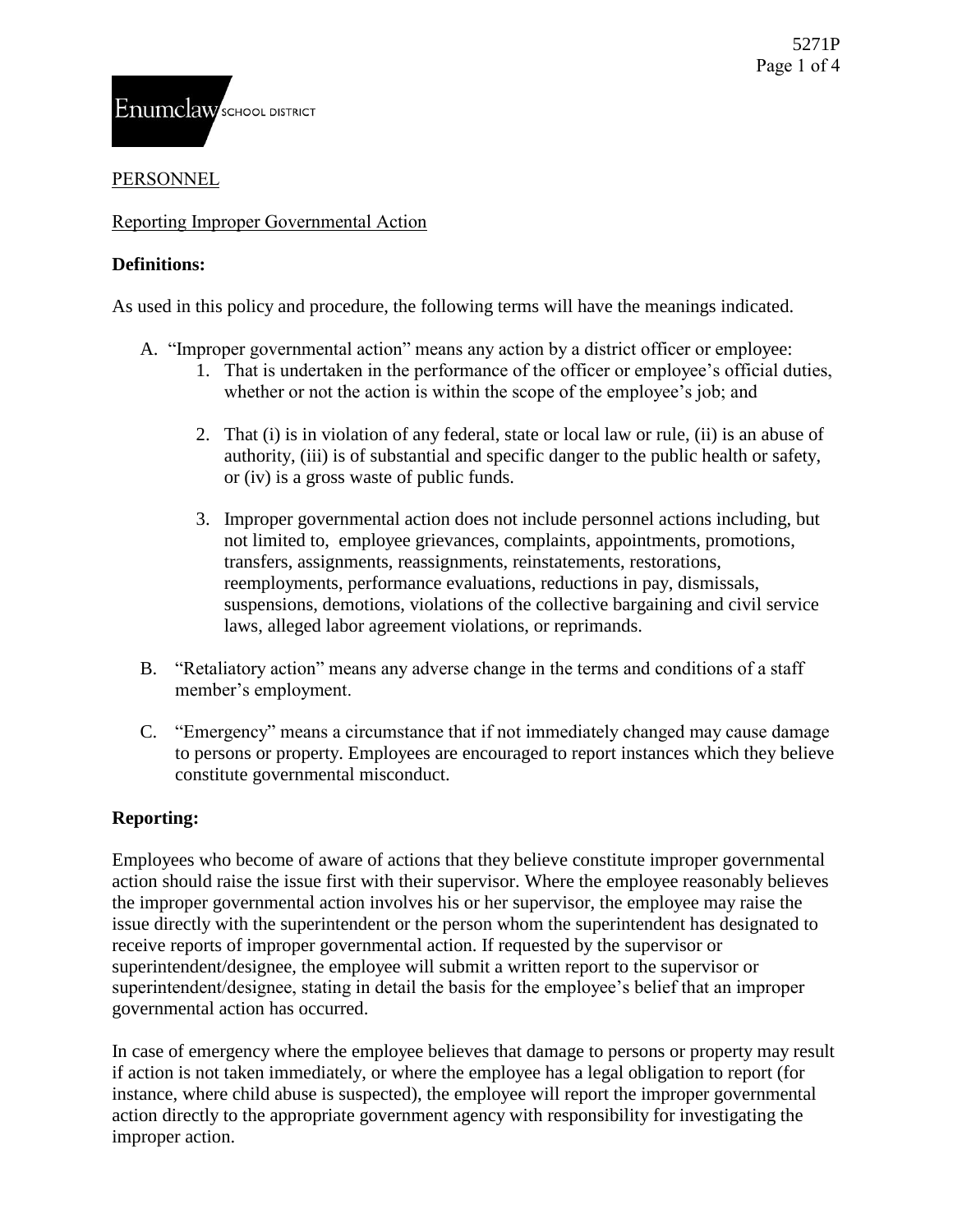# PERSONNEL

## Reporting Improper Governmental Action

## **Definitions:**

As used in this policy and procedure, the following terms will have the meanings indicated.

- A. "Improper governmental action" means any action by a district officer or employee:
	- 1. That is undertaken in the performance of the officer or employee's official duties, whether or not the action is within the scope of the employee's job; and
	- 2. That (i) is in violation of any federal, state or local law or rule, (ii) is an abuse of authority, (iii) is of substantial and specific danger to the public health or safety, or (iv) is a gross waste of public funds.
	- 3. Improper governmental action does not include personnel actions including, but not limited to, employee grievances, complaints, appointments, promotions, transfers, assignments, reassignments, reinstatements, restorations, reemployments, performance evaluations, reductions in pay, dismissals, suspensions, demotions, violations of the collective bargaining and civil service laws, alleged labor agreement violations, or reprimands.
	- B. "Retaliatory action" means any adverse change in the terms and conditions of a staff member's employment.
	- C. "Emergency" means a circumstance that if not immediately changed may cause damage to persons or property. Employees are encouraged to report instances which they believe constitute governmental misconduct.

# **Reporting:**

Employees who become of aware of actions that they believe constitute improper governmental action should raise the issue first with their supervisor. Where the employee reasonably believes the improper governmental action involves his or her supervisor, the employee may raise the issue directly with the superintendent or the person whom the superintendent has designated to receive reports of improper governmental action. If requested by the supervisor or superintendent/designee, the employee will submit a written report to the supervisor or superintendent/designee, stating in detail the basis for the employee's belief that an improper governmental action has occurred.

In case of emergency where the employee believes that damage to persons or property may result if action is not taken immediately, or where the employee has a legal obligation to report (for instance, where child abuse is suspected), the employee will report the improper governmental action directly to the appropriate government agency with responsibility for investigating the improper action.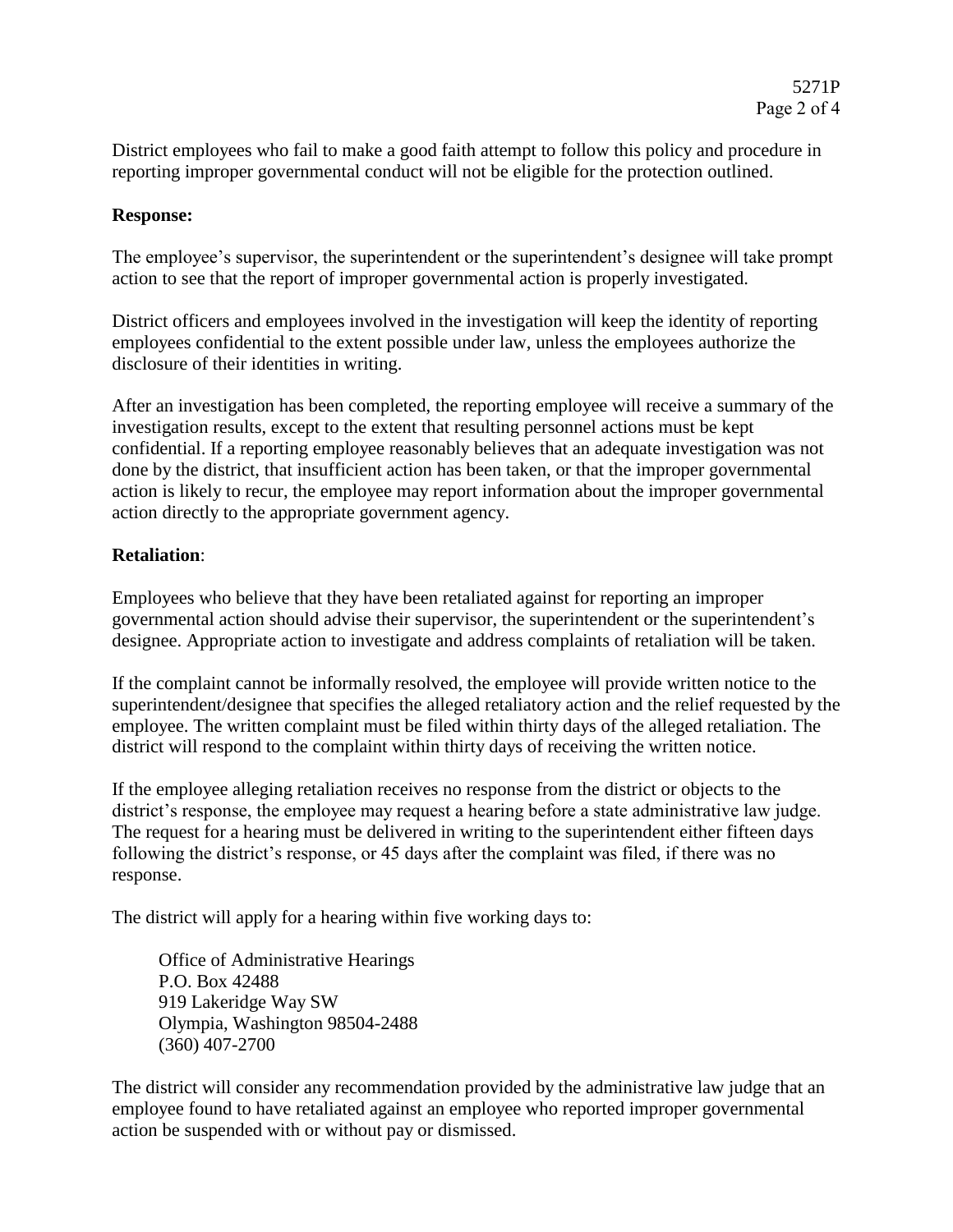District employees who fail to make a good faith attempt to follow this policy and procedure in reporting improper governmental conduct will not be eligible for the protection outlined.

#### **Response:**

The employee's supervisor, the superintendent or the superintendent's designee will take prompt action to see that the report of improper governmental action is properly investigated.

District officers and employees involved in the investigation will keep the identity of reporting employees confidential to the extent possible under law, unless the employees authorize the disclosure of their identities in writing.

After an investigation has been completed, the reporting employee will receive a summary of the investigation results, except to the extent that resulting personnel actions must be kept confidential. If a reporting employee reasonably believes that an adequate investigation was not done by the district, that insufficient action has been taken, or that the improper governmental action is likely to recur, the employee may report information about the improper governmental action directly to the appropriate government agency.

### **Retaliation**:

Employees who believe that they have been retaliated against for reporting an improper governmental action should advise their supervisor, the superintendent or the superintendent's designee. Appropriate action to investigate and address complaints of retaliation will be taken.

If the complaint cannot be informally resolved, the employee will provide written notice to the superintendent/designee that specifies the alleged retaliatory action and the relief requested by the employee. The written complaint must be filed within thirty days of the alleged retaliation. The district will respond to the complaint within thirty days of receiving the written notice.

If the employee alleging retaliation receives no response from the district or objects to the district's response, the employee may request a hearing before a state administrative law judge. The request for a hearing must be delivered in writing to the superintendent either fifteen days following the district's response, or 45 days after the complaint was filed, if there was no response.

The district will apply for a hearing within five working days to:

Office of Administrative Hearings P.O. Box 42488 919 Lakeridge Way SW Olympia, Washington 98504-2488 (360) 407-2700

The district will consider any recommendation provided by the administrative law judge that an employee found to have retaliated against an employee who reported improper governmental action be suspended with or without pay or dismissed.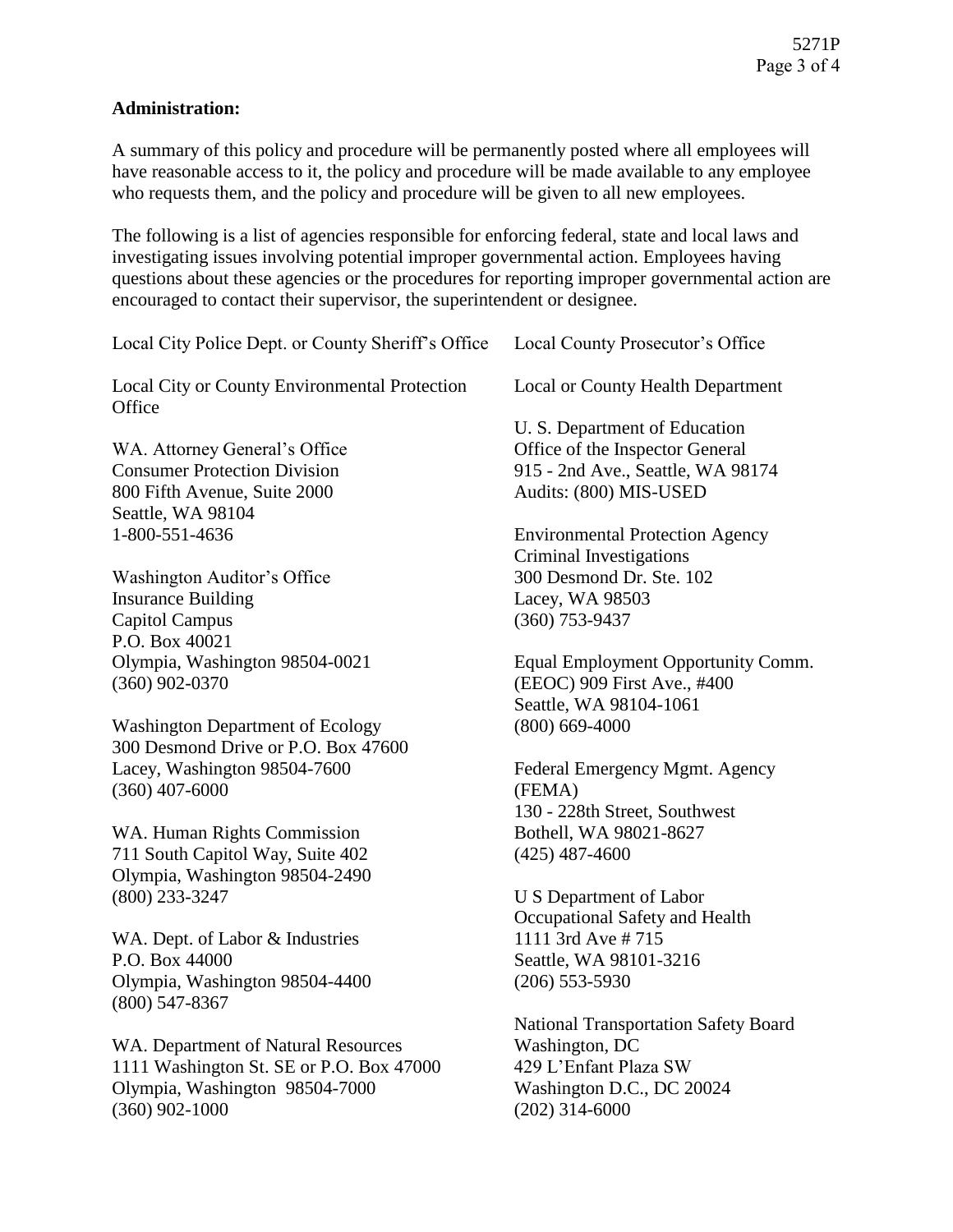# **Administration:**

A summary of this policy and procedure will be permanently posted where all employees will have reasonable access to it, the policy and procedure will be made available to any employee who requests them, and the policy and procedure will be given to all new employees.

The following is a list of agencies responsible for enforcing federal, state and local laws and investigating issues involving potential improper governmental action. Employees having questions about these agencies or the procedures for reporting improper governmental action are encouraged to contact their supervisor, the superintendent or designee.

| Local City Police Dept. or County Sheriff's Office                                                                                    | Local County Prosecutor's Office                                                                                                        |
|---------------------------------------------------------------------------------------------------------------------------------------|-----------------------------------------------------------------------------------------------------------------------------------------|
| Local City or County Environmental Protection<br>Office                                                                               | Local or County Health Department                                                                                                       |
| WA. Attorney General's Office<br><b>Consumer Protection Division</b><br>800 Fifth Avenue, Suite 2000<br>Seattle, WA 98104             | U. S. Department of Education<br>Office of the Inspector General<br>915 - 2nd Ave., Seattle, WA 98174<br>Audits: (800) MIS-USED         |
| 1-800-551-4636                                                                                                                        | <b>Environmental Protection Agency</b>                                                                                                  |
| Washington Auditor's Office<br><b>Insurance Building</b><br><b>Capitol Campus</b><br>P.O. Box 40021                                   | <b>Criminal Investigations</b><br>300 Desmond Dr. Ste. 102<br>Lacey, WA 98503<br>$(360)$ 753-9437                                       |
| Olympia, Washington 98504-0021<br>$(360)$ 902-0370                                                                                    | Equal Employment Opportunity Comm.<br>(EEOC) 909 First Ave., #400<br>Seattle, WA 98104-1061                                             |
| <b>Washington Department of Ecology</b><br>300 Desmond Drive or P.O. Box 47600                                                        | $(800)$ 669-4000                                                                                                                        |
| Lacey, Washington 98504-7600<br>$(360)$ 407-6000                                                                                      | Federal Emergency Mgmt. Agency<br>(FEMA)<br>130 - 228th Street, Southwest                                                               |
| WA. Human Rights Commission<br>711 South Capitol Way, Suite 402<br>Olympia, Washington 98504-2490                                     | Bothell, WA 98021-8627<br>$(425)$ 487-4600                                                                                              |
| $(800)$ 233-3247                                                                                                                      | U S Department of Labor<br>Occupational Safety and Health                                                                               |
| WA. Dept. of Labor & Industries<br>P.O. Box 44000<br>Olympia, Washington 98504-4400<br>$(800)$ 547-8367                               | 1111 3rd Ave # 715<br>Seattle, WA 98101-3216<br>$(206)$ 553-5930                                                                        |
| WA. Department of Natural Resources<br>1111 Washington St. SE or P.O. Box 47000<br>Olympia, Washington 98504-7000<br>$(360)$ 902-1000 | <b>National Transportation Safety Board</b><br>Washington, DC<br>429 L'Enfant Plaza SW<br>Washington D.C., DC 20024<br>$(202)$ 314-6000 |